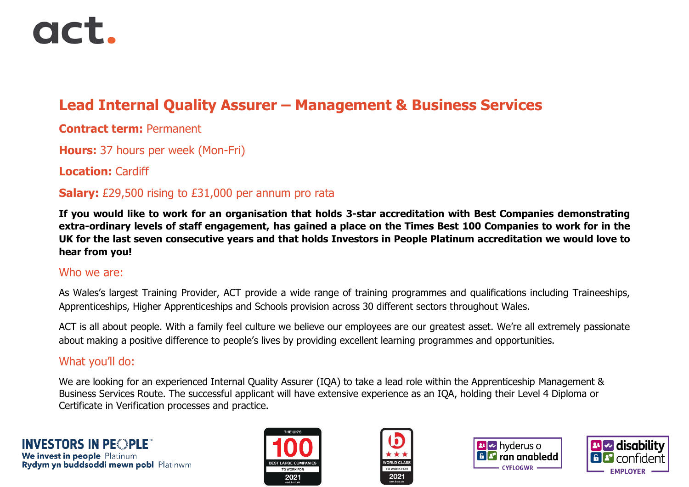# act.

# **Lead Internal Quality Assurer – Management & Business Services**

### **Contract term:** Permanent

**Hours:** 37 hours per week (Mon-Fri)

# **Location:** Cardiff

### **Salary:** £29,500 rising to £31,000 per annum pro rata

**If you would like to work for an organisation that holds 3-star accreditation with Best Companies demonstrating extra-ordinary levels of staff engagement, has gained a place on the Times Best 100 Companies to work for in the UK for the last seven consecutive years and that holds Investors in People Platinum accreditation we would love to hear from you!**

#### Who we are:

As Wales's largest Training Provider, ACT provide a wide range of training programmes and qualifications including Traineeships, Apprenticeships, Higher Apprenticeships and Schools provision across 30 different sectors throughout Wales.

ACT is all about people. With a family feel culture we believe our employees are our greatest asset. We're all extremely passionate about making a positive difference to people's lives by providing excellent learning programmes and opportunities.

#### What you'll do:

We are looking for an experienced Internal Quality Assurer (IQA) to take a lead role within the Apprenticeship Management & Business Services Route. The successful applicant will have extensive experience as an IQA, holding their Level 4 Diploma or Certificate in Verification processes and practice.







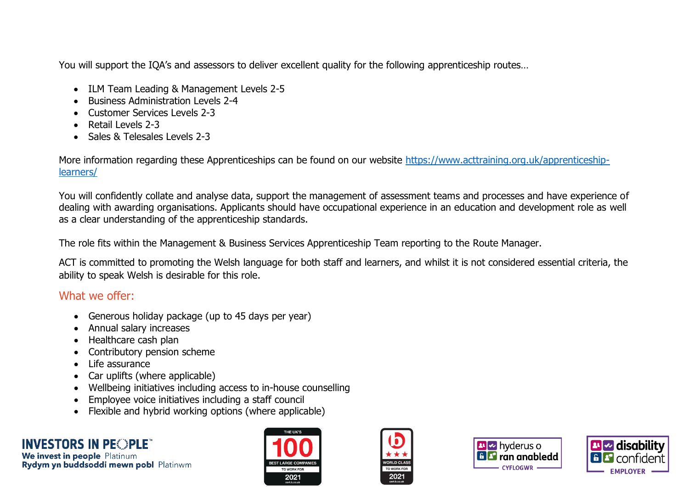You will support the IQA's and assessors to deliver excellent quality for the following apprenticeship routes…

- ILM Team Leading & Management Levels 2-5
- Business Administration Levels 2-4
- Customer Services Levels 2-3
- Retail Levels 2-3
- Sales & Telesales Levels 2-3

More information regarding these Apprenticeships can be found on our website [https://www.acttraining.org.uk/apprenticeship](https://www.acttraining.org.uk/apprenticeship-learners/)[learners/](https://www.acttraining.org.uk/apprenticeship-learners/)

You will confidently collate and analyse data, support the management of assessment teams and processes and have experience of dealing with awarding organisations. Applicants should have occupational experience in an education and development role as well as a clear understanding of the apprenticeship standards.

The role fits within the Management & Business Services Apprenticeship Team reporting to the Route Manager.

ACT is committed to promoting the Welsh language for both staff and learners, and whilst it is not considered essential criteria, the ability to speak Welsh is desirable for this role.

#### What we offer:

- Generous holiday package (up to 45 days per year)
- Annual salary increases
- Healthcare cash plan
- Contributory pension scheme
- Life assurance
- Car uplifts (where applicable)
- Wellbeing initiatives including access to in-house counselling
- Employee voice initiatives including a staff council
- Flexible and hybrid working options (where applicable)









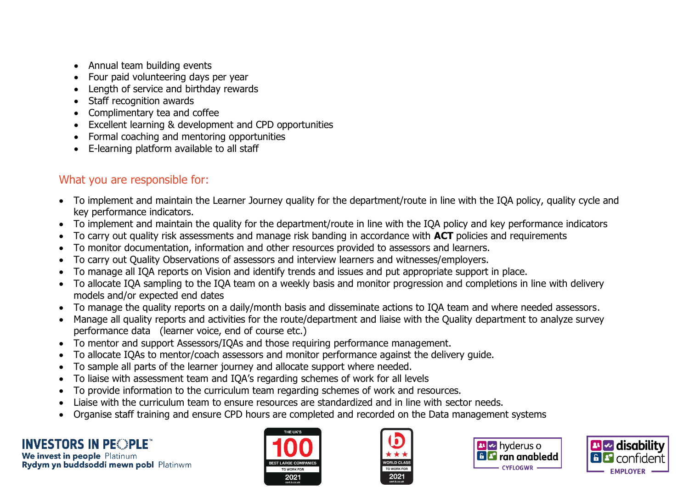- Annual team building events
- Four paid volunteering days per year
- Length of service and birthday rewards
- Staff recognition awards
- Complimentary tea and coffee
- Excellent learning & development and CPD opportunities
- Formal coaching and mentoring opportunities
- E-learning platform available to all staff

# What you are responsible for:

- To implement and maintain the Learner Journey quality for the department/route in line with the IQA policy, quality cycle and key performance indicators.
- To implement and maintain the quality for the department/route in line with the IQA policy and key performance indicators
- To carry out quality risk assessments and manage risk banding in accordance with **ACT** policies and requirements
- To monitor documentation, information and other resources provided to assessors and learners.
- To carry out Quality Observations of assessors and interview learners and witnesses/employers.
- To manage all IQA reports on Vision and identify trends and issues and put appropriate support in place.
- To allocate IQA sampling to the IQA team on a weekly basis and monitor progression and completions in line with delivery models and/or expected end dates
- To manage the quality reports on a daily/month basis and disseminate actions to IQA team and where needed assessors.
- Manage all quality reports and activities for the route/department and liaise with the Quality department to analyze survey performance data (learner voice, end of course etc.)
- To mentor and support Assessors/IQAs and those requiring performance management.
- To allocate IQAs to mentor/coach assessors and monitor performance against the delivery guide.
- To sample all parts of the learner journey and allocate support where needed.
- To liaise with assessment team and IQA's regarding schemes of work for all levels
- To provide information to the curriculum team regarding schemes of work and resources.
- Liaise with the curriculum team to ensure resources are standardized and in line with sector needs.
- Organise staff training and ensure CPD hours are completed and recorded on the Data management systems







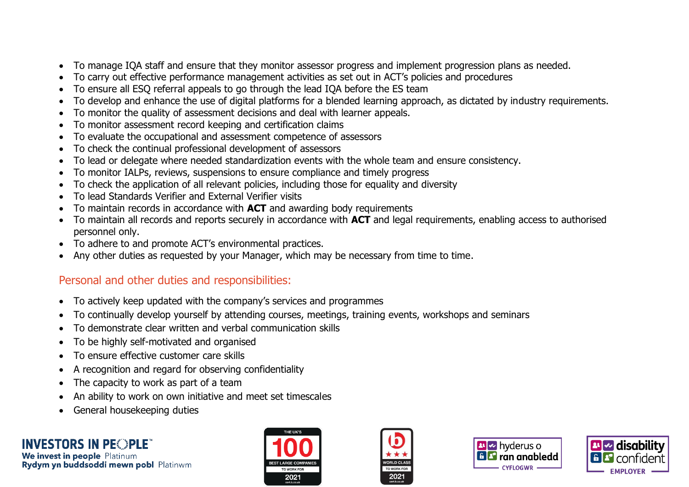- To manage IQA staff and ensure that they monitor assessor progress and implement progression plans as needed.
- To carry out effective performance management activities as set out in ACT's policies and procedures
- To ensure all ESQ referral appeals to go through the lead IQA before the ES team
- To develop and enhance the use of digital platforms for a blended learning approach, as dictated by industry requirements.
- To monitor the quality of assessment decisions and deal with learner appeals.
- To monitor assessment record keeping and certification claims
- To evaluate the occupational and assessment competence of assessors
- To check the continual professional development of assessors
- To lead or delegate where needed standardization events with the whole team and ensure consistency.
- To monitor IALPs, reviews, suspensions to ensure compliance and timely progress
- To check the application of all relevant policies, including those for equality and diversity
- To lead Standards Verifier and External Verifier visits
- To maintain records in accordance with **ACT** and awarding body requirements
- To maintain all records and reports securely in accordance with **ACT** and legal requirements, enabling access to authorised personnel only.
- To adhere to and promote ACT's environmental practices.
- Any other duties as requested by your Manager, which may be necessary from time to time.

#### Personal and other duties and responsibilities:

- To actively keep updated with the company's services and programmes
- To continually develop yourself by attending courses, meetings, training events, workshops and seminars
- To demonstrate clear written and verbal communication skills
- To be highly self-motivated and organised
- To ensure effective customer care skills
- A recognition and regard for observing confidentiality
- The capacity to work as part of a team
- An ability to work on own initiative and meet set timescales
- General housekeeping duties









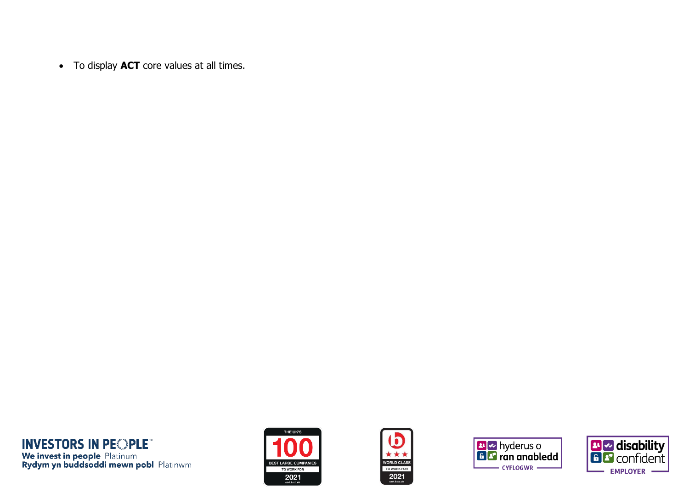• To display **ACT** core values at all times.









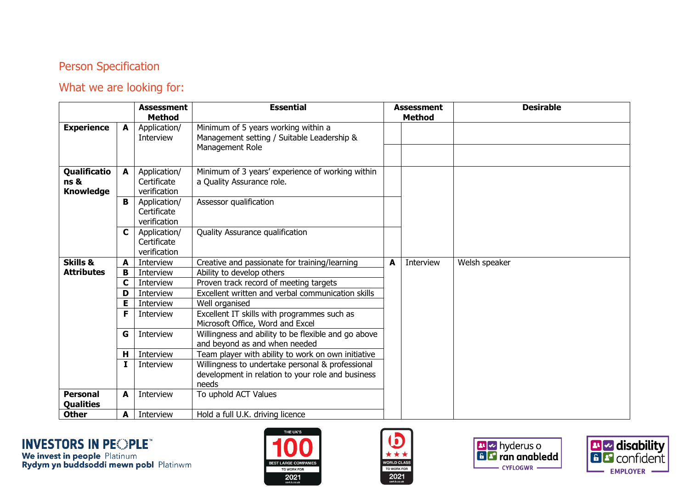# Person Specification

#### What we are looking for:

|                                          |              | <b>Assessment</b><br><b>Method</b>          | <b>Essential</b>                                                                                               |   | <b>Assessment</b><br><b>Method</b> | <b>Desirable</b> |
|------------------------------------------|--------------|---------------------------------------------|----------------------------------------------------------------------------------------------------------------|---|------------------------------------|------------------|
| <b>Experience</b>                        | A            | Application/<br>Interview                   | Minimum of 5 years working within a<br>Management setting / Suitable Leadership &<br>Management Role           |   |                                    |                  |
| Qualificatio<br>ns &<br><b>Knowledge</b> | A            | Application/<br>Certificate<br>verification | Minimum of 3 years' experience of working within<br>a Quality Assurance role.                                  |   |                                    |                  |
|                                          | B            | Application/<br>Certificate<br>verification | Assessor qualification                                                                                         |   |                                    |                  |
|                                          | $\mathbf{C}$ | Application/<br>Certificate<br>verification | Quality Assurance qualification                                                                                |   |                                    |                  |
| <b>Skills &amp;</b>                      | A            | Interview                                   | Creative and passionate for training/learning                                                                  | A | Interview                          | Welsh speaker    |
| <b>Attributes</b>                        | B            | Interview                                   | Ability to develop others                                                                                      |   |                                    |                  |
|                                          | $\mathbf C$  | Interview                                   | Proven track record of meeting targets                                                                         |   |                                    |                  |
|                                          | D            | Interview                                   | Excellent written and verbal communication skills                                                              |   |                                    |                  |
|                                          | Е            | Interview                                   | Well organised                                                                                                 |   |                                    |                  |
|                                          | F            | Interview                                   | Excellent IT skills with programmes such as<br>Microsoft Office, Word and Excel                                |   |                                    |                  |
|                                          | G            | Interview                                   | Willingness and ability to be flexible and go above<br>and beyond as and when needed                           |   |                                    |                  |
|                                          | Н            | Interview                                   | Team player with ability to work on own initiative                                                             |   |                                    |                  |
|                                          | $\mathbf{I}$ | Interview                                   | Willingness to undertake personal & professional<br>development in relation to your role and business<br>needs |   |                                    |                  |
| <b>Personal</b><br><b>Qualities</b>      | A            | Interview                                   | To uphold ACT Values                                                                                           |   |                                    |                  |
| <b>Other</b>                             | $\mathsf{A}$ | Interview                                   | Hold a full U.K. driving licence                                                                               |   |                                    |                  |